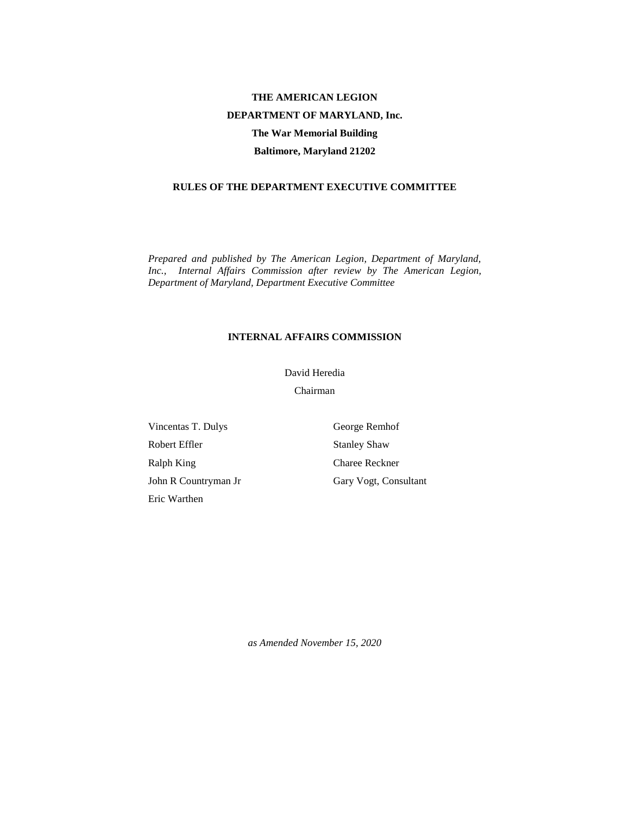# **THE AMERICAN LEGION DEPARTMENT OF MARYLAND, Inc. The War Memorial Building Baltimore, Maryland 21202**

## **RULES OF THE DEPARTMENT EXECUTIVE COMMITTEE**

*Prepared and published by The American Legion, Department of Maryland, Inc., Internal Affairs Commission after review by The American Legion, Department of Maryland, Department Executive Committee*

### **INTERNAL AFFAIRS COMMISSION**

David Heredia

Chairman

Vincentas T. Dulys Robert Effler Ralph King John R Countryman Jr Eric Warthen

George Remhof Stanley Shaw Charee Reckner Gary Vogt, Consultant

*as Amended November 15, 2020*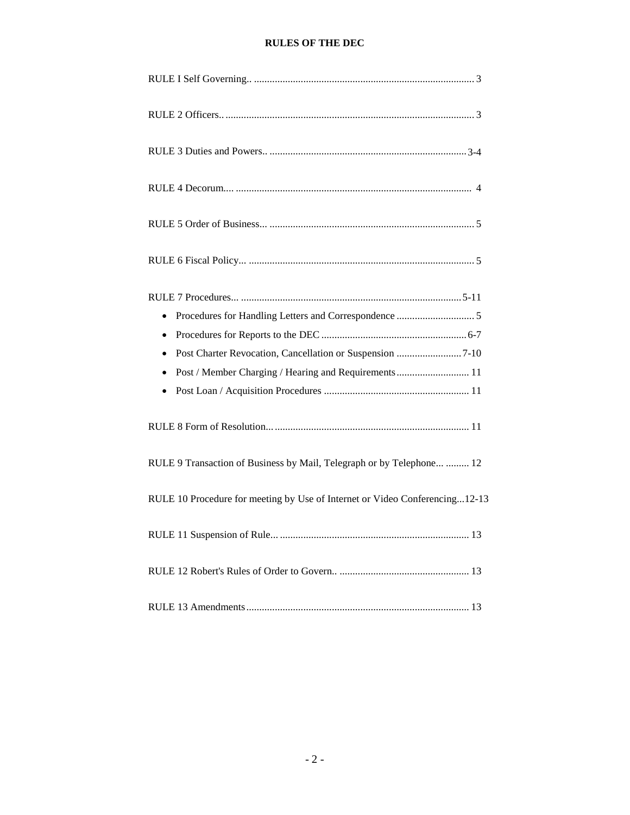## **RULES OF THE DEC**

| $\bullet$                                                                   |
|-----------------------------------------------------------------------------|
| $\bullet$                                                                   |
| $\bullet$                                                                   |
| Post / Member Charging / Hearing and Requirements  11<br>$\bullet$          |
| $\bullet$                                                                   |
|                                                                             |
| RULE 9 Transaction of Business by Mail, Telegraph or by Telephone  12       |
| RULE 10 Procedure for meeting by Use of Internet or Video Conferencing12-13 |
| $\therefore$ 13                                                             |
|                                                                             |
|                                                                             |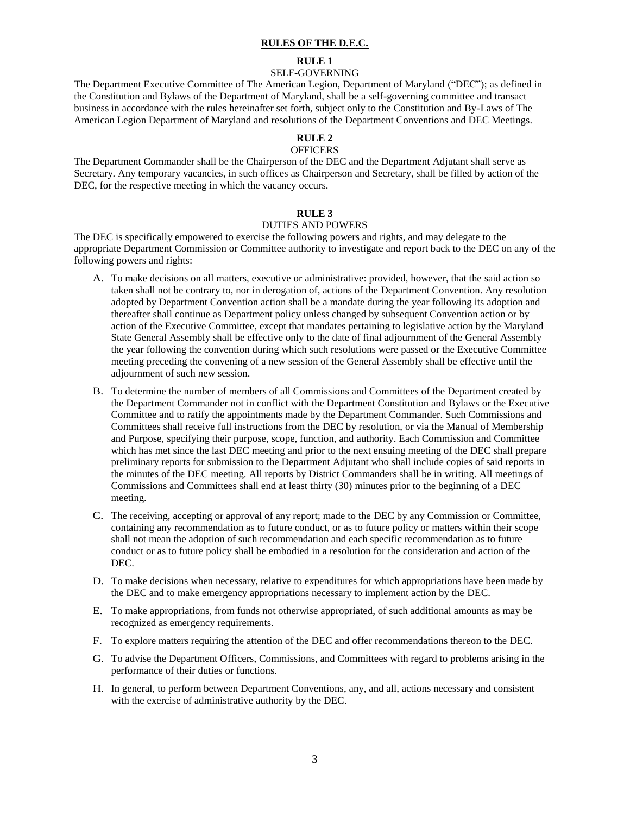### **RULES OF THE D.E.C.**

#### **RULE 1**

### SELF-GOVERNING

The Department Executive Committee of The American Legion, Department of Maryland ("DEC"); as defined in the Constitution and Bylaws of the Department of Maryland, shall be a self-governing committee and transact business in accordance with the rules hereinafter set forth, subject only to the Constitution and By-Laws of The American Legion Department of Maryland and resolutions of the Department Conventions and DEC Meetings.

## **RULE 2**

### **OFFICERS**

The Department Commander shall be the Chairperson of the DEC and the Department Adjutant shall serve as Secretary. Any temporary vacancies, in such offices as Chairperson and Secretary, shall be filled by action of the DEC, for the respective meeting in which the vacancy occurs.

### **RULE 3**

### DUTIES AND POWERS

The DEC is specifically empowered to exercise the following powers and rights, and may delegate to the appropriate Department Commission or Committee authority to investigate and report back to the DEC on any of the following powers and rights:

- A. To make decisions on all matters, executive or administrative: provided, however, that the said action so taken shall not be contrary to, nor in derogation of, actions of the Department Convention. Any resolution adopted by Department Convention action shall be a mandate during the year following its adoption and thereafter shall continue as Department policy unless changed by subsequent Convention action or by action of the Executive Committee, except that mandates pertaining to legislative action by the Maryland State General Assembly shall be effective only to the date of final adjournment of the General Assembly the year following the convention during which such resolutions were passed or the Executive Committee meeting preceding the convening of a new session of the General Assembly shall be effective until the adjournment of such new session.
- B. To determine the number of members of all Commissions and Committees of the Department created by the Department Commander not in conflict with the Department Constitution and Bylaws or the Executive Committee and to ratify the appointments made by the Department Commander. Such Commissions and Committees shall receive full instructions from the DEC by resolution, or via the Manual of Membership and Purpose, specifying their purpose, scope, function, and authority. Each Commission and Committee which has met since the last DEC meeting and prior to the next ensuing meeting of the DEC shall prepare preliminary reports for submission to the Department Adjutant who shall include copies of said reports in the minutes of the DEC meeting. All reports by District Commanders shall be in writing. All meetings of Commissions and Committees shall end at least thirty (30) minutes prior to the beginning of a DEC meeting.
- C. The receiving, accepting or approval of any report; made to the DEC by any Commission or Committee, containing any recommendation as to future conduct, or as to future policy or matters within their scope shall not mean the adoption of such recommendation and each specific recommendation as to future conduct or as to future policy shall be embodied in a resolution for the consideration and action of the DEC.
- D. To make decisions when necessary, relative to expenditures for which appropriations have been made by the DEC and to make emergency appropriations necessary to implement action by the DEC.
- E. To make appropriations, from funds not otherwise appropriated, of such additional amounts as may be recognized as emergency requirements.
- F. To explore matters requiring the attention of the DEC and offer recommendations thereon to the DEC.
- G. To advise the Department Officers, Commissions, and Committees with regard to problems arising in the performance of their duties or functions.
- H. In general, to perform between Department Conventions, any, and all, actions necessary and consistent with the exercise of administrative authority by the DEC.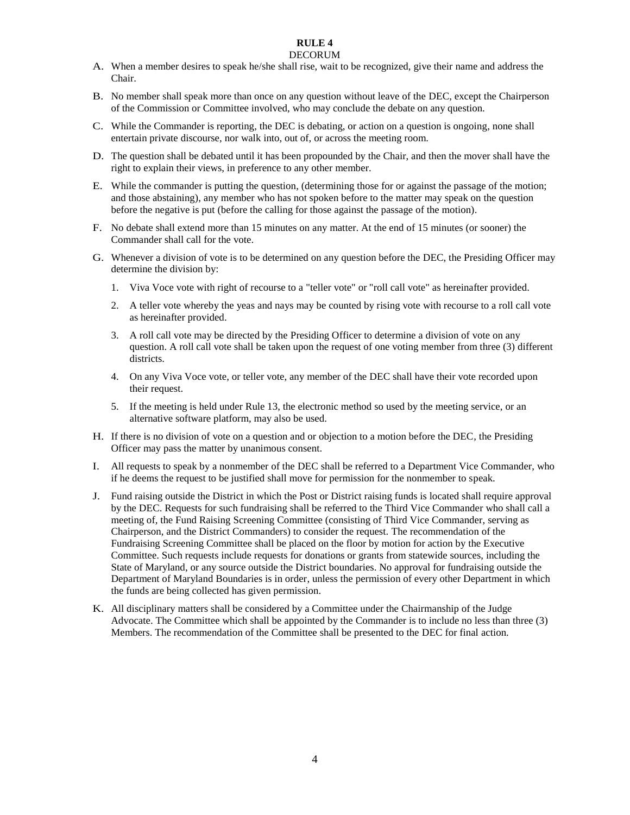## **RULE 4**

## DECORUM

- A. When a member desires to speak he/she shall rise, wait to be recognized, give their name and address the Chair.
- B. No member shall speak more than once on any question without leave of the DEC, except the Chairperson of the Commission or Committee involved, who may conclude the debate on any question.
- C. While the Commander is reporting, the DEC is debating, or action on a question is ongoing, none shall entertain private discourse, nor walk into, out of, or across the meeting room.
- D. The question shall be debated until it has been propounded by the Chair, and then the mover shall have the right to explain their views, in preference to any other member.
- E. While the commander is putting the question, (determining those for or against the passage of the motion; and those abstaining), any member who has not spoken before to the matter may speak on the question before the negative is put (before the calling for those against the passage of the motion).
- F. No debate shall extend more than 15 minutes on any matter. At the end of 15 minutes (or sooner) the Commander shall call for the vote.
- G. Whenever a division of vote is to be determined on any question before the DEC, the Presiding Officer may determine the division by:
	- 1. Viva Voce vote with right of recourse to a "teller vote" or "roll call vote" as hereinafter provided.
	- 2. A teller vote whereby the yeas and nays may be counted by rising vote with recourse to a roll call vote as hereinafter provided.
	- 3. A roll call vote may be directed by the Presiding Officer to determine a division of vote on any question. A roll call vote shall be taken upon the request of one voting member from three (3) different districts.
	- 4. On any Viva Voce vote, or teller vote, any member of the DEC shall have their vote recorded upon their request.
	- 5. If the meeting is held under Rule 13, the electronic method so used by the meeting service, or an alternative software platform, may also be used.
- H. If there is no division of vote on a question and or objection to a motion before the DEC, the Presiding Officer may pass the matter by unanimous consent.
- I. All requests to speak by a nonmember of the DEC shall be referred to a Department Vice Commander, who if he deems the request to be justified shall move for permission for the nonmember to speak.
- J. Fund raising outside the District in which the Post or District raising funds is located shall require approval by the DEC. Requests for such fundraising shall be referred to the Third Vice Commander who shall call a meeting of, the Fund Raising Screening Committee (consisting of Third Vice Commander, serving as Chairperson, and the District Commanders) to consider the request. The recommendation of the Fundraising Screening Committee shall be placed on the floor by motion for action by the Executive Committee. Such requests include requests for donations or grants from statewide sources, including the State of Maryland, or any source outside the District boundaries. No approval for fundraising outside the Department of Maryland Boundaries is in order, unless the permission of every other Department in which the funds are being collected has given permission.
- K. All disciplinary matters shall be considered by a Committee under the Chairmanship of the Judge Advocate. The Committee which shall be appointed by the Commander is to include no less than three (3) Members. The recommendation of the Committee shall be presented to the DEC for final action.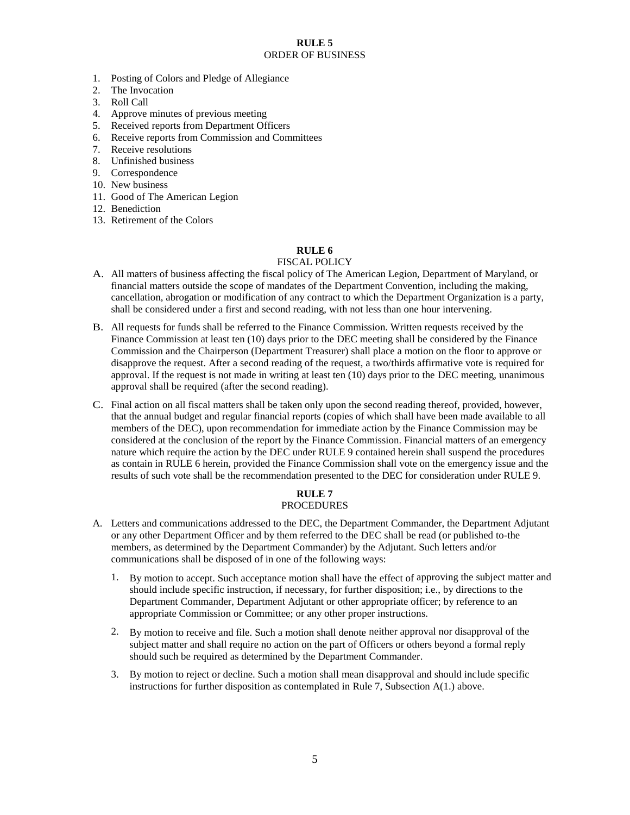### **RULE 5** ORDER OF BUSINESS

- 1. Posting of Colors and Pledge of Allegiance
- 2. The Invocation
- 3. Roll Call
- 4. Approve minutes of previous meeting
- 5. Received reports from Department Officers
- 6. Receive reports from Commission and Committees
- 7. Receive resolutions
- 8. Unfinished business
- 9. Correspondence
- 10. New business
- 11. Good of The American Legion
- 12. Benediction
- 13. Retirement of the Colors

### **RULE 6**

### FISCAL POLICY

- A. All matters of business affecting the fiscal policy of The American Legion, Department of Maryland, or financial matters outside the scope of mandates of the Department Convention, including the making, cancellation, abrogation or modification of any contract to which the Department Organization is a party, shall be considered under a first and second reading, with not less than one hour intervening.
- B. All requests for funds shall be referred to the Finance Commission. Written requests received by the Finance Commission at least ten (10) days prior to the DEC meeting shall be considered by the Finance Commission and the Chairperson (Department Treasurer) shall place a motion on the floor to approve or disapprove the request. After a second reading of the request, a two/thirds affirmative vote is required for approval. If the request is not made in writing at least ten (10) days prior to the DEC meeting, unanimous approval shall be required (after the second reading).
- C. Final action on all fiscal matters shall be taken only upon the second reading thereof, provided, however, that the annual budget and regular financial reports (copies of which shall have been made available to all members of the DEC), upon recommendation for immediate action by the Finance Commission may be considered at the conclusion of the report by the Finance Commission. Financial matters of an emergency nature which require the action by the DEC under RULE 9 contained herein shall suspend the procedures as contain in RULE 6 herein, provided the Finance Commission shall vote on the emergency issue and the results of such vote shall be the recommendation presented to the DEC for consideration under RULE 9.

#### **RULE 7** PROCEDURES

- A. Letters and communications addressed to the DEC, the Department Commander, the Department Adjutant or any other Department Officer and by them referred to the DEC shall be read (or published to-the members, as determined by the Department Commander) by the Adjutant. Such letters and/or communications shall be disposed of in one of the following ways:
	- 1. By motion to accept. Such acceptance motion shall have the effect of approving the subject matter and should include specific instruction, if necessary, for further disposition; i.e., by directions to the Department Commander, Department Adjutant or other appropriate officer; by reference to an appropriate Commission or Committee; or any other proper instructions.
	- 2. By motion to receive and file. Such a motion shall denote neither approval nor disapproval of the subject matter and shall require no action on the part of Officers or others beyond a formal reply should such be required as determined by the Department Commander.
	- 3. By motion to reject or decline. Such a motion shall mean disapproval and should include specific instructions for further disposition as contemplated in Rule 7, Subsection A(1.) above.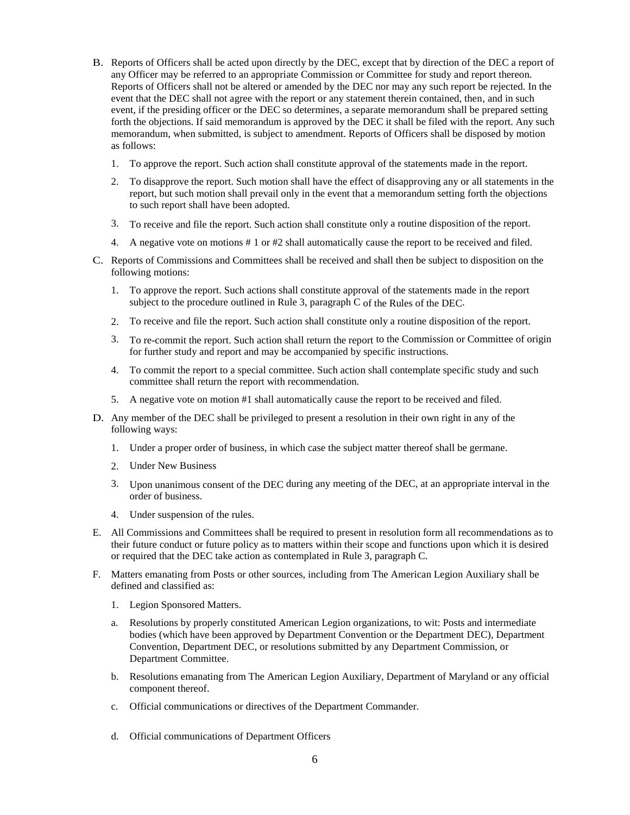- B. Reports of Officers shall be acted upon directly by the DEC, except that by direction of the DEC a report of any Officer may be referred to an appropriate Commission or Committee for study and report thereon. Reports of Officers shall not be altered or amended by the DEC nor may any such report be rejected. In the event that the DEC shall not agree with the report or any statement therein contained, then, and in such event, if the presiding officer or the DEC so determines, a separate memorandum shall be prepared setting forth the objections. If said memorandum is approved by the DEC it shall be filed with the report. Any such memorandum, when submitted, is subject to amendment. Reports of Officers shall be disposed by motion as follows:
	- 1. To approve the report. Such action shall constitute approval of the statements made in the report.
	- 2. To disapprove the report. Such motion shall have the effect of disapproving any or all statements in the report, but such motion shall prevail only in the event that a memorandum setting forth the objections to such report shall have been adopted.
	- 3. To receive and file the report. Such action shall constitute only a routine disposition of the report.
	- 4. A negative vote on motions # 1 or #2 shall automatically cause the report to be received and filed.
- C. Reports of Commissions and Committees shall be received and shall then be subject to disposition on the following motions:
	- 1. To approve the report. Such actions shall constitute approval of the statements made in the report subject to the procedure outlined in Rule 3, paragraph C of the Rules of the DEC.
	- 2. To receive and file the report. Such action shall constitute only a routine disposition of the report.
	- 3. To re-commit the report. Such action shall return the report to the Commission or Committee of origin for further study and report and may be accompanied by specific instructions.
	- 4. To commit the report to a special committee. Such action shall contemplate specific study and such committee shall return the report with recommendation.
	- 5. A negative vote on motion #1 shall automatically cause the report to be received and filed.
- D. Any member of the DEC shall be privileged to present a resolution in their own right in any of the following ways:
	- 1. Under a proper order of business, in which case the subject matter thereof shall be germane.
	- 2. Under New Business
	- 3. Upon unanimous consent of the DEC during any meeting of the DEC, at an appropriate interval in the order of business.
	- 4. Under suspension of the rules.
- E. All Commissions and Committees shall be required to present in resolution form all recommendations as to their future conduct or future policy as to matters within their scope and functions upon which it is desired or required that the DEC take action as contemplated in Rule 3, paragraph C.
- F. Matters emanating from Posts or other sources, including from The American Legion Auxiliary shall be defined and classified as:
	- 1. Legion Sponsored Matters.
	- a. Resolutions by properly constituted American Legion organizations, to wit: Posts and intermediate bodies (which have been approved by Department Convention or the Department DEC), Department Convention, Department DEC, or resolutions submitted by any Department Commission, or Department Committee.
	- b. Resolutions emanating from The American Legion Auxiliary, Department of Maryland or any official component thereof.
	- c. Official communications or directives of the Department Commander.
	- d. Official communications of Department Officers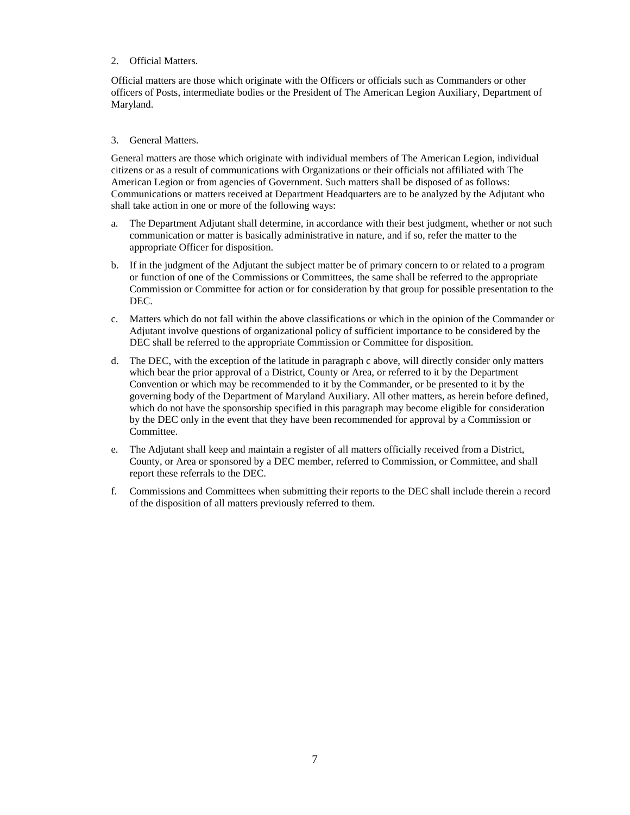### 2. Official Matters.

Official matters are those which originate with the Officers or officials such as Commanders or other officers of Posts, intermediate bodies or the President of The American Legion Auxiliary, Department of Maryland.

### 3. General Matters.

General matters are those which originate with individual members of The American Legion, individual citizens or as a result of communications with Organizations or their officials not affiliated with The American Legion or from agencies of Government. Such matters shall be disposed of as follows: Communications or matters received at Department Headquarters are to be analyzed by the Adjutant who shall take action in one or more of the following ways:

- a. The Department Adjutant shall determine, in accordance with their best judgment, whether or not such communication or matter is basically administrative in nature, and if so, refer the matter to the appropriate Officer for disposition.
- b. If in the judgment of the Adjutant the subject matter be of primary concern to or related to a program or function of one of the Commissions or Committees, the same shall be referred to the appropriate Commission or Committee for action or for consideration by that group for possible presentation to the DEC.
- c. Matters which do not fall within the above classifications or which in the opinion of the Commander or Adjutant involve questions of organizational policy of sufficient importance to be considered by the DEC shall be referred to the appropriate Commission or Committee for disposition.
- d. The DEC, with the exception of the latitude in paragraph c above, will directly consider only matters which bear the prior approval of a District, County or Area, or referred to it by the Department Convention or which may be recommended to it by the Commander, or be presented to it by the governing body of the Department of Maryland Auxiliary. All other matters, as herein before defined, which do not have the sponsorship specified in this paragraph may become eligible for consideration by the DEC only in the event that they have been recommended for approval by a Commission or Committee.
- e. The Adjutant shall keep and maintain a register of all matters officially received from a District, County, or Area or sponsored by a DEC member, referred to Commission, or Committee, and shall report these referrals to the DEC.
- f. Commissions and Committees when submitting their reports to the DEC shall include therein a record of the disposition of all matters previously referred to them.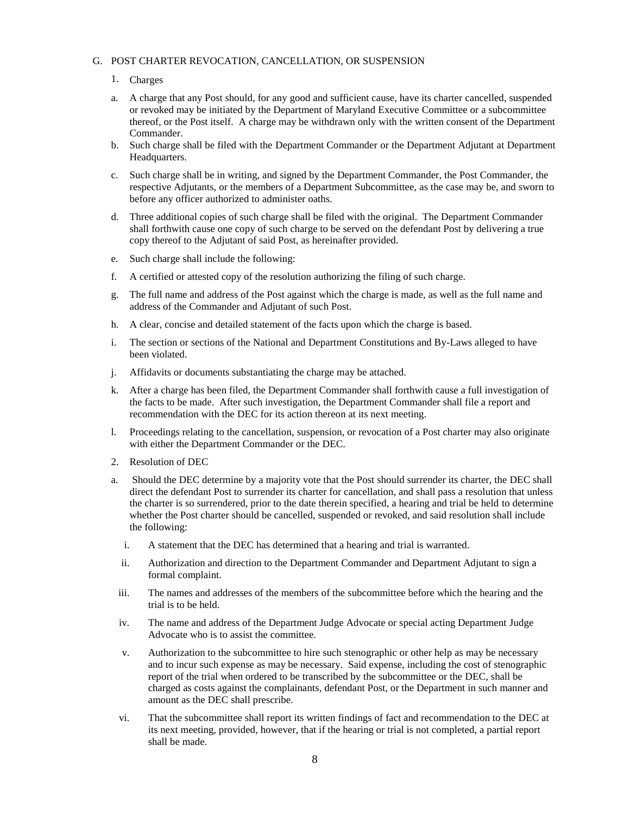### G. POST CHARTER REVOCATION, CANCELLATION, OR SUSPENSION

### 1. Charges

- a. A charge that any Post should, for any good and sufficient cause, have its charter cancelled, suspended or revoked may be initiated by the Department of Maryland Executive Committee or a subcommittee thereof, or the Post itself. A charge may be withdrawn only with the written consent of the Department Commander.
- b. Such charge shall be filed with the Department Commander or the Department Adjutant at Department Headquarters.
- c. Such charge shall be in writing, and signed by the Department Commander, the Post Commander, the respective Adjutants, or the members of a Department Subcommittee, as the case may be, and sworn to before any officer authorized to administer oaths.
- d. Three additional copies of such charge shall be filed with the original. The Department Commander shall forthwith cause one copy of such charge to be served on the defendant Post by delivering a true copy thereof to the Adjutant of said Post, as hereinafter provided.
- e. Such charge shall include the following:
- f. A certified or attested copy of the resolution authorizing the filing of such charge.
- g. The full name and address of the Post against which the charge is made, as well as the full name and address of the Commander and Adjutant of such Post.
- h. A clear, concise and detailed statement of the facts upon which the charge is based.
- i. The section or sections of the National and Department Constitutions and By-Laws alleged to have been violated.
- j. Affidavits or documents substantiating the charge may be attached.
- k. After a charge has been filed, the Department Commander shall forthwith cause a full investigation of the facts to be made. After such investigation, the Department Commander shall file a report and recommendation with the DEC for its action thereon at its next meeting.
- l. Proceedings relating to the cancellation, suspension, or revocation of a Post charter may also originate with either the Department Commander or the DEC.
- 2. Resolution of DEC
- a. Should the DEC determine by a majority vote that the Post should surrender its charter, the DEC shall direct the defendant Post to surrender its charter for cancellation, and shall pass a resolution that unless the charter is so surrendered, prior to the date therein specified, a hearing and trial be held to determine whether the Post charter should be cancelled, suspended or revoked, and said resolution shall include the following:
	- i. A statement that the DEC has determined that a hearing and trial is warranted.
	- ii. Authorization and direction to the Department Commander and Department Adjutant to sign a formal complaint.
- iii. The names and addresses of the members of the subcommittee before which the hearing and the trial is to be held.
- iv. The name and address of the Department Judge Advocate or special acting Department Judge Advocate who is to assist the committee.
- v. Authorization to the subcommittee to hire such stenographic or other help as may be necessary and to incur such expense as may be necessary. Said expense, including the cost of stenographic report of the trial when ordered to be transcribed by the subcommittee or the DEC, shall be charged as costs against the complainants, defendant Post, or the Department in such manner and amount as the DEC shall prescribe.
- vi. That the subcommittee shall report its written findings of fact and recommendation to the DEC at its next meeting, provided, however, that if the hearing or trial is not completed, a partial report shall be made.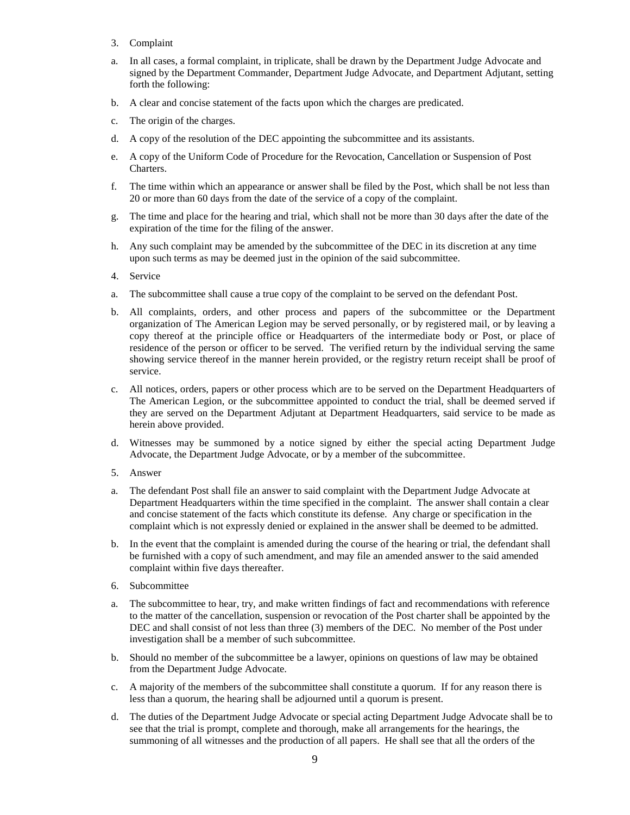- 3. Complaint
- a. In all cases, a formal complaint, in triplicate, shall be drawn by the Department Judge Advocate and signed by the Department Commander, Department Judge Advocate, and Department Adjutant, setting forth the following:
- b. A clear and concise statement of the facts upon which the charges are predicated.
- c. The origin of the charges.
- d. A copy of the resolution of the DEC appointing the subcommittee and its assistants.
- e. A copy of the Uniform Code of Procedure for the Revocation, Cancellation or Suspension of Post Charters.
- f. The time within which an appearance or answer shall be filed by the Post, which shall be not less than 20 or more than 60 days from the date of the service of a copy of the complaint.
- g. The time and place for the hearing and trial, which shall not be more than 30 days after the date of the expiration of the time for the filing of the answer.
- h. Any such complaint may be amended by the subcommittee of the DEC in its discretion at any time upon such terms as may be deemed just in the opinion of the said subcommittee.
- 4. Service
- a. The subcommittee shall cause a true copy of the complaint to be served on the defendant Post.
- b. All complaints, orders, and other process and papers of the subcommittee or the Department organization of The American Legion may be served personally, or by registered mail, or by leaving a copy thereof at the principle office or Headquarters of the intermediate body or Post, or place of residence of the person or officer to be served. The verified return by the individual serving the same showing service thereof in the manner herein provided, or the registry return receipt shall be proof of service.
- c. All notices, orders, papers or other process which are to be served on the Department Headquarters of The American Legion, or the subcommittee appointed to conduct the trial, shall be deemed served if they are served on the Department Adjutant at Department Headquarters, said service to be made as herein above provided.
- d. Witnesses may be summoned by a notice signed by either the special acting Department Judge Advocate, the Department Judge Advocate, or by a member of the subcommittee.
- 5. Answer
- a. The defendant Post shall file an answer to said complaint with the Department Judge Advocate at Department Headquarters within the time specified in the complaint. The answer shall contain a clear and concise statement of the facts which constitute its defense. Any charge or specification in the complaint which is not expressly denied or explained in the answer shall be deemed to be admitted.
- b. In the event that the complaint is amended during the course of the hearing or trial, the defendant shall be furnished with a copy of such amendment, and may file an amended answer to the said amended complaint within five days thereafter.
- 6. Subcommittee
- a. The subcommittee to hear, try, and make written findings of fact and recommendations with reference to the matter of the cancellation, suspension or revocation of the Post charter shall be appointed by the DEC and shall consist of not less than three (3) members of the DEC. No member of the Post under investigation shall be a member of such subcommittee.
- b. Should no member of the subcommittee be a lawyer, opinions on questions of law may be obtained from the Department Judge Advocate.
- c. A majority of the members of the subcommittee shall constitute a quorum. If for any reason there is less than a quorum, the hearing shall be adjourned until a quorum is present.
- d. The duties of the Department Judge Advocate or special acting Department Judge Advocate shall be to see that the trial is prompt, complete and thorough, make all arrangements for the hearings, the summoning of all witnesses and the production of all papers. He shall see that all the orders of the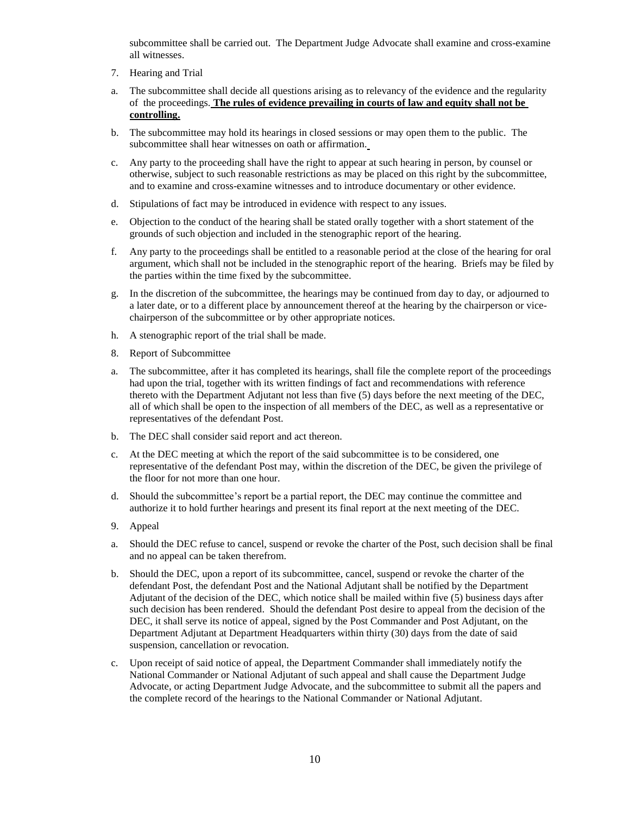subcommittee shall be carried out. The Department Judge Advocate shall examine and cross-examine all witnesses.

- 7. Hearing and Trial
- a. The subcommittee shall decide all questions arising as to relevancy of the evidence and the regularity of the proceedings. **The rules of evidence prevailing in courts of law and equity shall not be controlling.**
- b. The subcommittee may hold its hearings in closed sessions or may open them to the public. The subcommittee shall hear witnesses on oath or affirmation.
- c. Any party to the proceeding shall have the right to appear at such hearing in person, by counsel or otherwise, subject to such reasonable restrictions as may be placed on this right by the subcommittee, and to examine and cross-examine witnesses and to introduce documentary or other evidence.
- d. Stipulations of fact may be introduced in evidence with respect to any issues.
- e. Objection to the conduct of the hearing shall be stated orally together with a short statement of the grounds of such objection and included in the stenographic report of the hearing.
- f. Any party to the proceedings shall be entitled to a reasonable period at the close of the hearing for oral argument, which shall not be included in the stenographic report of the hearing. Briefs may be filed by the parties within the time fixed by the subcommittee.
- g. In the discretion of the subcommittee, the hearings may be continued from day to day, or adjourned to a later date, or to a different place by announcement thereof at the hearing by the chairperson or vicechairperson of the subcommittee or by other appropriate notices.
- h. A stenographic report of the trial shall be made.
- 8. Report of Subcommittee
- a. The subcommittee, after it has completed its hearings, shall file the complete report of the proceedings had upon the trial, together with its written findings of fact and recommendations with reference thereto with the Department Adjutant not less than five (5) days before the next meeting of the DEC, all of which shall be open to the inspection of all members of the DEC, as well as a representative or representatives of the defendant Post.
- b. The DEC shall consider said report and act thereon.
- c. At the DEC meeting at which the report of the said subcommittee is to be considered, one representative of the defendant Post may, within the discretion of the DEC, be given the privilege of the floor for not more than one hour.
- d. Should the subcommittee's report be a partial report, the DEC may continue the committee and authorize it to hold further hearings and present its final report at the next meeting of the DEC.
- 9. Appeal
- a. Should the DEC refuse to cancel, suspend or revoke the charter of the Post, such decision shall be final and no appeal can be taken therefrom.
- b. Should the DEC, upon a report of its subcommittee, cancel, suspend or revoke the charter of the defendant Post, the defendant Post and the National Adjutant shall be notified by the Department Adjutant of the decision of the DEC, which notice shall be mailed within five (5) business days after such decision has been rendered. Should the defendant Post desire to appeal from the decision of the DEC, it shall serve its notice of appeal, signed by the Post Commander and Post Adjutant, on the Department Adjutant at Department Headquarters within thirty (30) days from the date of said suspension, cancellation or revocation.
- c. Upon receipt of said notice of appeal, the Department Commander shall immediately notify the National Commander or National Adjutant of such appeal and shall cause the Department Judge Advocate, or acting Department Judge Advocate, and the subcommittee to submit all the papers and the complete record of the hearings to the National Commander or National Adjutant.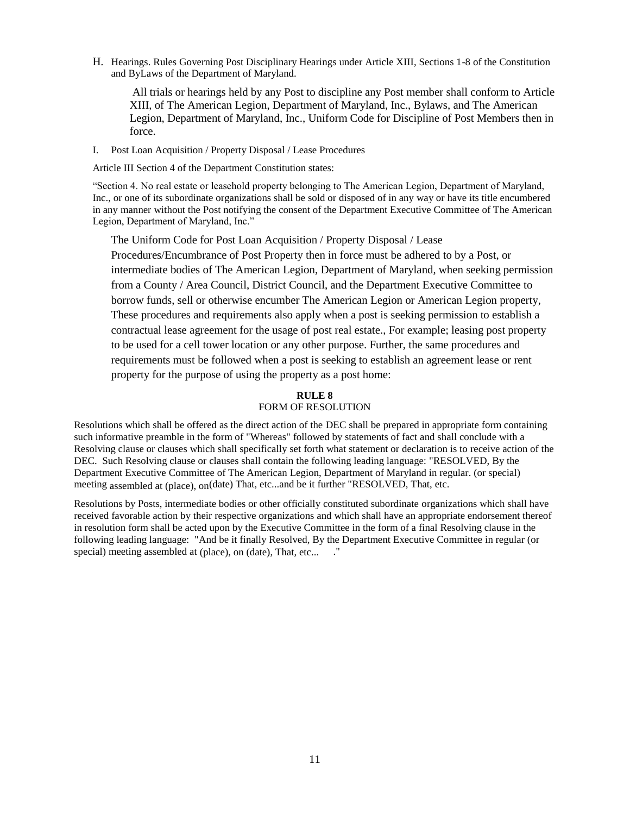H. Hearings. Rules Governing Post Disciplinary Hearings under Article XIII, Sections 1-8 of the Constitution and ByLaws of the Department of Maryland.

All trials or hearings held by any Post to discipline any Post member shall conform to Article XIII, of The American Legion, Department of Maryland, Inc., Bylaws, and The American Legion, Department of Maryland, Inc., Uniform Code for Discipline of Post Members then in force.

I. Post Loan Acquisition / Property Disposal / Lease Procedures

Article III Section 4 of the Department Constitution states:

"Section 4. No real estate or leasehold property belonging to The American Legion, Department of Maryland, Inc., or one of its subordinate organizations shall be sold or disposed of in any way or have its title encumbered in any manner without the Post notifying the consent of the Department Executive Committee of The American Legion, Department of Maryland, Inc."

The Uniform Code for Post Loan Acquisition / Property Disposal / Lease Procedures/Encumbrance of Post Property then in force must be adhered to by a Post, or intermediate bodies of The American Legion, Department of Maryland, when seeking permission from a County / Area Council, District Council, and the Department Executive Committee to borrow funds, sell or otherwise encumber The American Legion or American Legion property, These procedures and requirements also apply when a post is seeking permission to establish a contractual lease agreement for the usage of post real estate., For example; leasing post property to be used for a cell tower location or any other purpose. Further, the same procedures and requirements must be followed when a post is seeking to establish an agreement lease or rent property for the purpose of using the property as a post home:

## **RULE 8**

### FORM OF RESOLUTION

Resolutions which shall be offered as the direct action of the DEC shall be prepared in appropriate form containing such informative preamble in the form of "Whereas" followed by statements of fact and shall conclude with a Resolving clause or clauses which shall specifically set forth what statement or declaration is to receive action of the DEC. Such Resolving clause or clauses shall contain the following leading language: "RESOLVED, By the Department Executive Committee of The American Legion, Department of Maryland in regular. (or special) meeting assembled at (place), on(date) That, etc...and be it further "RESOLVED, That, etc.

Resolutions by Posts, intermediate bodies or other officially constituted subordinate organizations which shall have received favorable action by their respective organizations and which shall have an appropriate endorsement thereof in resolution form shall be acted upon by the Executive Committee in the form of a final Resolving clause in the following leading language: "And be it finally Resolved, By the Department Executive Committee in regular (or special) meeting assembled at (place), on (date), That, etc... ."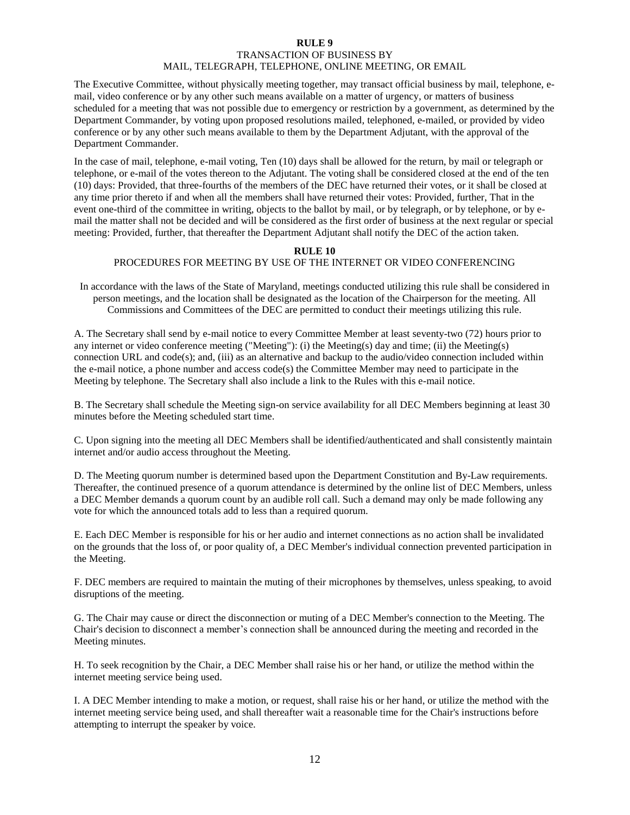### **RULE 9** TRANSACTION OF BUSINESS BY MAIL, TELEGRAPH, TELEPHONE, ONLINE MEETING, OR EMAIL

The Executive Committee, without physically meeting together, may transact official business by mail, telephone, email, video conference or by any other such means available on a matter of urgency, or matters of business scheduled for a meeting that was not possible due to emergency or restriction by a government, as determined by the Department Commander, by voting upon proposed resolutions mailed, telephoned, e-mailed, or provided by video conference or by any other such means available to them by the Department Adjutant, with the approval of the Department Commander.

In the case of mail, telephone, e-mail voting, Ten (10) days shall be allowed for the return, by mail or telegraph or telephone, or e-mail of the votes thereon to the Adjutant. The voting shall be considered closed at the end of the ten (10) days: Provided, that three-fourths of the members of the DEC have returned their votes, or it shall be closed at any time prior thereto if and when all the members shall have returned their votes: Provided, further, That in the event one-third of the committee in writing, objects to the ballot by mail, or by telegraph, or by telephone, or by email the matter shall not be decided and will be considered as the first order of business at the next regular or special meeting: Provided, further, that thereafter the Department Adjutant shall notify the DEC of the action taken.

### **RULE 10**

### PROCEDURES FOR MEETING BY USE OF THE INTERNET OR VIDEO CONFERENCING

In accordance with the laws of the State of Maryland, meetings conducted utilizing this rule shall be considered in person meetings, and the location shall be designated as the location of the Chairperson for the meeting. All Commissions and Committees of the DEC are permitted to conduct their meetings utilizing this rule.

A. The Secretary shall send by e-mail notice to every Committee Member at least seventy-two (72) hours prior to any internet or video conference meeting ("Meeting"): (i) the Meeting(s) day and time; (ii) the Meeting(s) connection URL and code(s); and, (iii) as an alternative and backup to the audio/video connection included within the e-mail notice, a phone number and access code(s) the Committee Member may need to participate in the Meeting by telephone. The Secretary shall also include a link to the Rules with this e-mail notice.

B. The Secretary shall schedule the Meeting sign-on service availability for all DEC Members beginning at least 30 minutes before the Meeting scheduled start time.

C. Upon signing into the meeting all DEC Members shall be identified/authenticated and shall consistently maintain internet and/or audio access throughout the Meeting.

D. The Meeting quorum number is determined based upon the Department Constitution and By-Law requirements. Thereafter, the continued presence of a quorum attendance is determined by the online list of DEC Members, unless a DEC Member demands a quorum count by an audible roll call. Such a demand may only be made following any vote for which the announced totals add to less than a required quorum.

E. Each DEC Member is responsible for his or her audio and internet connections as no action shall be invalidated on the grounds that the loss of, or poor quality of, a DEC Member's individual connection prevented participation in the Meeting.

F. DEC members are required to maintain the muting of their microphones by themselves, unless speaking, to avoid disruptions of the meeting.

G. The Chair may cause or direct the disconnection or muting of a DEC Member's connection to the Meeting. The Chair's decision to disconnect a member's connection shall be announced during the meeting and recorded in the Meeting minutes.

H. To seek recognition by the Chair, a DEC Member shall raise his or her hand, or utilize the method within the internet meeting service being used.

I. A DEC Member intending to make a motion, or request, shall raise his or her hand, or utilize the method with the internet meeting service being used, and shall thereafter wait a reasonable time for the Chair's instructions before attempting to interrupt the speaker by voice.